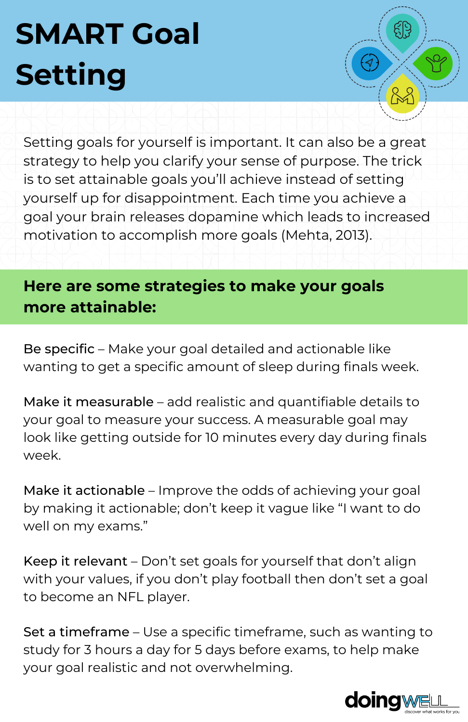## **SMART Goal Setting**

Setting goals for yourself is important. It can also be a great strategy to help you clarify your sense of purpose. The trick is to set attainable goals you'll achieve instead of setting yourself up for disappointment. Each time you achieve a goal your brain releases dopamine which leads to increased motivation to accomplish more goals (Mehta, 2013).

## **Here are some strategies to make your goals more attainable:**

Be specific – Make your goal detailed and actionable like wanting to get a specific amount of sleep during finals week.

Make it measurable – add realistic and quantifiable details to your goal to measure your success. A measurable goal may look like getting outside for 10 minutes every day during finals week.

Make it actionable – Improve the odds of achieving your goal by making it actionable; don't keep it vague like "I want to do well on my exams."

Keep it relevant – Don't set goals for yourself that don't align with your values, if you don't play football then don't set a goal to become an NFL player.

Set a timeframe – Use a specific timeframe, such as wanting to study for 3 hours a day for 5 days before exams, to help make your goal realistic and not overwhelming.